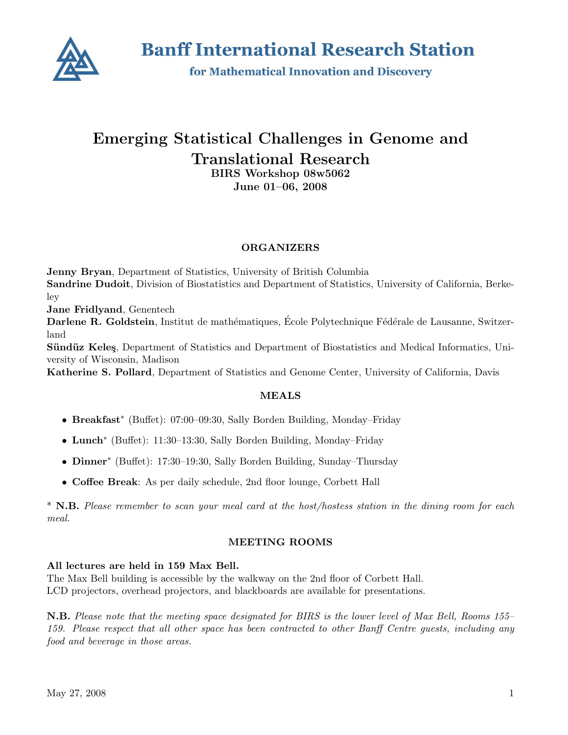

**Banff International Research Station** 

for Mathematical Innovation and Discovery

# Emerging Statistical Challenges in Genome and Translational Research BIRS Workshop 08w5062

June 01–06, 2008

# **ORGANIZERS**

Jenny Bryan, Department of Statistics, University of British Columbia Sandrine Dudoit, Division of Biostatistics and Department of Statistics, University of California, Berkeley

Jane Fridlyand, Genentech

Darlene R. Goldstein, Institut de mathématiques, École Polytechnique Fédérale de Lausanne, Switzerland

Sündüz Keleş, Department of Statistics and Department of Biostatistics and Medical Informatics, University of Wisconsin, Madison

Katherine S. Pollard, Department of Statistics and Genome Center, University of California, Davis

# MEALS

- Breakfast<sup>∗</sup> (Buffet): 07:00–09:30, Sally Borden Building, Monday–Friday
- Lunch<sup>∗</sup> (Buffet): 11:30–13:30, Sally Borden Building, Monday–Friday
- Dinner<sup>∗</sup> (Buffet): 17:30–19:30, Sally Borden Building, Sunday–Thursday
- Coffee Break: As per daily schedule, 2nd floor lounge, Corbett Hall

\* N.B. Please remember to scan your meal card at the host/hostess station in the dining room for each meal.

# MEETING ROOMS

# All lectures are held in 159 Max Bell.

The Max Bell building is accessible by the walkway on the 2nd floor of Corbett Hall. LCD projectors, overhead projectors, and blackboards are available for presentations.

N.B. Please note that the meeting space designated for BIRS is the lower level of Max Bell, Rooms 155– 159. Please respect that all other space has been contracted to other Banff Centre guests, including any food and beverage in those areas.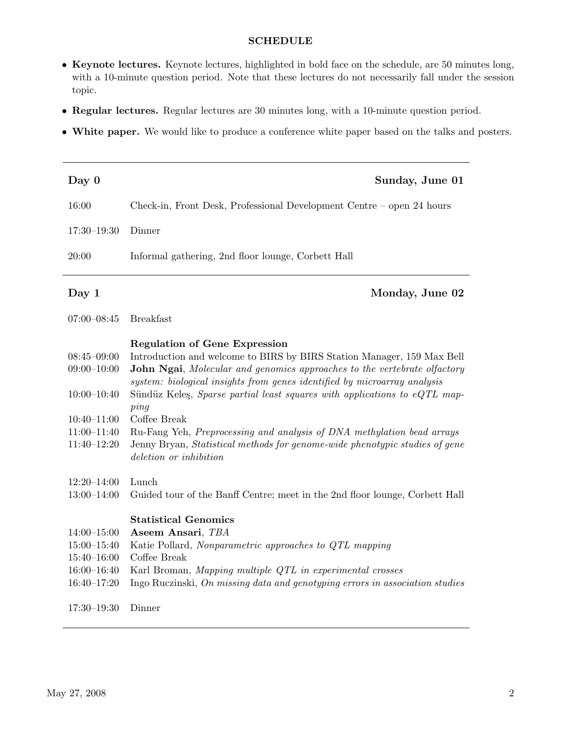# SCHEDULE

- Keynote lectures. Keynote lectures, highlighted in bold face on the schedule, are 50 minutes long, with a 10-minute question period. Note that these lectures do not necessarily fall under the session topic.
- Regular lectures. Regular lectures are 30 minutes long, with a 10-minute question period.
- White paper. We would like to produce a conference white paper based on the talks and posters.

| Day 0           | Sunday, June 01                                                                                                |
|-----------------|----------------------------------------------------------------------------------------------------------------|
| 16:00           | Check-in, Front Desk, Professional Development Centre – open 24 hours                                          |
| $17:30 - 19:30$ | Dinner                                                                                                         |
| 20:00           | Informal gathering, 2nd floor lounge, Corbett Hall                                                             |
| Day $1$         | Monday, June 02                                                                                                |
| $07:00 - 08:45$ | <b>Breakfast</b>                                                                                               |
| $08:45 - 09:00$ | <b>Regulation of Gene Expression</b><br>Introduction and welcome to BIRS by BIRS Station Manager, 159 Max Bell |

| $08:45 - 09:00$ | Introduction and welcome to BIRS by BIRS Station Manager, 159 Max Bell           |
|-----------------|----------------------------------------------------------------------------------|
| $09:00 - 10:00$ | <b>John Ngai</b> , Molecular and genomics approaches to the vertebrate olfactory |
|                 | system: biological insights from genes identified by microarray analysis         |
| $10:00-10:40$   | Sündüz Keleş, Sparse partial least squares with applications to eQTL map-        |
|                 | pinq                                                                             |
| $10:40 - 11:00$ | Coffee Break                                                                     |
| $11:00-11:40$   | Ru-Fang Yeh, Preprocessing and analysis of DNA methylation bead arrays           |
| $11:40 - 12:20$ | Jenny Bryan, Statistical methods for genome-wide phenotypic studies of gene      |
|                 | deletion or inhibition                                                           |
|                 |                                                                                  |
| $12:20 - 14:00$ | Lunch                                                                            |
| $13:00-14:00$   | Guided tour of the Banff Centre; meet in the 2nd floor lounge, Corbett Hall      |
|                 |                                                                                  |
|                 | <b>Statistical Genomics</b>                                                      |
| $14:00 - 15:00$ | Aseem Ansari, TBA                                                                |
| $15:00 - 15:40$ | Katie Pollard, Nonparametric approaches to QTL mapping                           |
| $15:40 - 16:00$ | Coffee Break                                                                     |
| $16:00 - 16:40$ | Karl Broman, Mapping multiple QTL in experimental crosses                        |
| $16:40 - 17:20$ | Ingo Ruczinski, On missing data and genotyping errors in association studies     |
|                 |                                                                                  |
|                 |                                                                                  |

17:30–19:30 Dinner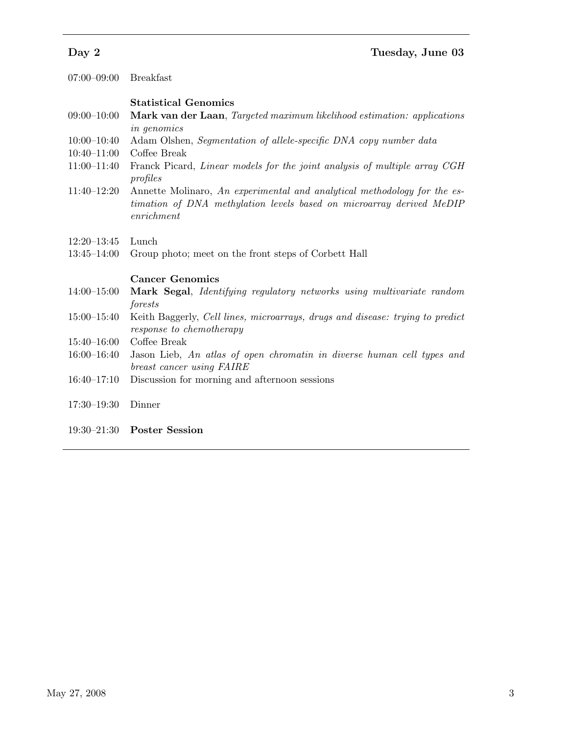| $07:00 - 09:00$ | <b>Breakfast</b>                                                                |
|-----------------|---------------------------------------------------------------------------------|
|                 | <b>Statistical Genomics</b>                                                     |
| $09:00 - 10:00$ | <b>Mark van der Laan</b> , Targeted maximum likelihood estimation: applications |
|                 | <i>in genomics</i>                                                              |
| $10:00 - 10:40$ | Adam Olshen, Segmentation of allele-specific DNA copy number data               |
| $10:40 - 11:00$ | Coffee Break                                                                    |
| $11:00-11:40$   | Franck Picard, Linear models for the joint analysis of multiple array CGH       |
|                 | profiles                                                                        |
| 11.40 10.00     |                                                                                 |

- 11:40–12:20 Annette Molinaro, An experimental and analytical methodology for the estimation of DNA methylation levels based on microarray derived MeDIP enrichment
- 12:20–13:45 Lunch
- 13:45–14:00 Group photo; meet on the front steps of Corbett Hall

# Cancer Genomics

- 14:00–15:00 Mark Segal, Identifying regulatory networks using multivariate random forests
- 15:00–15:40 Keith Baggerly, Cell lines, microarrays, drugs and disease: trying to predict response to chemotherapy
- 15:40–16:00 Coffee Break
- 16:00–16:40 Jason Lieb, An atlas of open chromatin in diverse human cell types and breast cancer using FAIRE
- 16:40–17:10 Discussion for morning and afternoon sessions
- 17:30–19:30 Dinner
- 19:30–21:30 Poster Session

# Day 2 Tuesday, June 03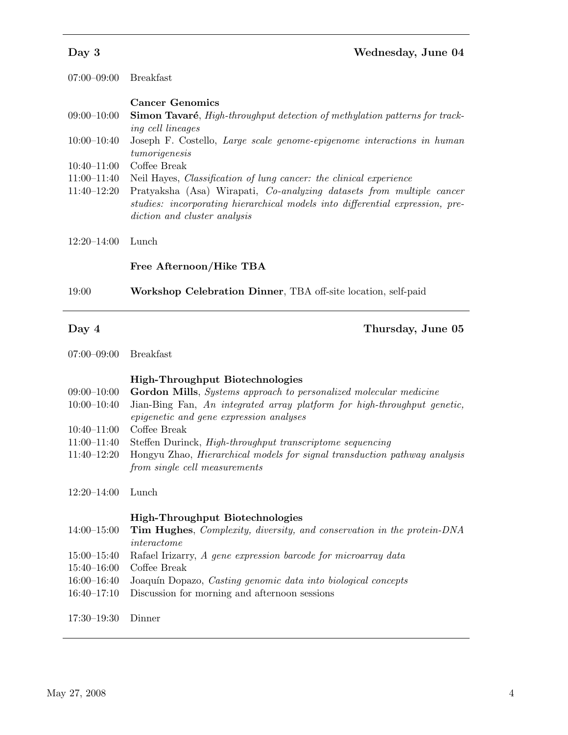| Day 3 | Wednesday, June 04 |
|-------|--------------------|
|       |                    |

07:00–09:00 Breakfast

# Cancer Genomics

|                                                                                                                 | $09:00-10:00$ Simon Tavaré, <i>High-throughput detection of methylation patterns for track-</i> |
|-----------------------------------------------------------------------------------------------------------------|-------------------------------------------------------------------------------------------------|
|                                                                                                                 | <i>ing cell lineages</i>                                                                        |
| $\begin{array}{c} \hline \text{A} & \text{A} & \text{A} & \text{A} & \text{A} & \text{A} \\ \hline \end{array}$ | $\mathbf{r}$ $\mathbf{r}$ $\mathbf{r}$ $\mathbf{r}$                                             |

- 10:00–10:40 Joseph F. Costello, Large scale genome-epigenome interactions in human tumorigenesis
- 10:40–11:00 Coffee Break
- 11:00–11:40 Neil Hayes, Classification of lung cancer: the clinical experience
- 11:40–12:20 Pratyaksha (Asa) Wirapati, Co-analyzing datasets from multiple cancer studies: incorporating hierarchical models into differential expression, prediction and cluster analysis
- 12:20–14:00 Lunch

#### Free Afternoon/Hike TBA

19:00 Workshop Celebration Dinner, TBA off-site location, self-paid

Day 4 Thursday, June 05

# High-Throughput Biotechnologies

- $09:00-10:00$  Gordon Mills, *Systems approach to personalized molecular medicine*
- 10:00–10:40 Jian-Bing Fan, An integrated array platform for high-throughput genetic, epigenetic and gene expression analyses
- 10:40–11:00 Coffee Break
- 11:00–11:40 Steffen Durinck, High-throughput transcriptome sequencing
- 11:40–12:20 Hongyu Zhao, Hierarchical models for signal transduction pathway analysis from single cell measurements

#### 12:20–14:00 Lunch

High-Throughput Biotechnologies

- 14:00–15:00 Tim Hughes, Complexity, diversity, and conservation in the protein-DNA interactome
- 15:00–15:40 Rafael Irizarry, A gene expression barcode for microarray data
- 15:40–16:00 Coffee Break
- 16:00–16:40 Joaquín Dopazo, Casting genomic data into biological concepts
- 16:40–17:10 Discussion for morning and afternoon sessions

17:30–19:30 Dinner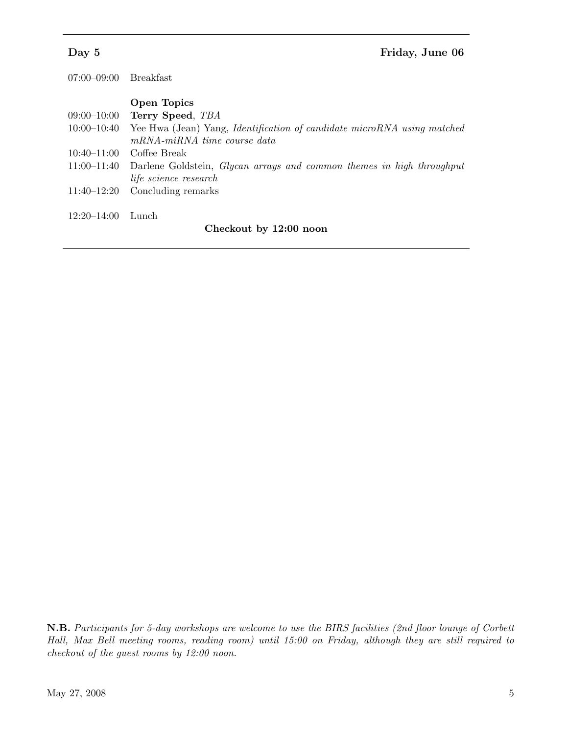| 07:00–09:00            | Breakfast                                                                                |  |
|------------------------|------------------------------------------------------------------------------------------|--|
|                        | Open Topics                                                                              |  |
| 09:00–10:00            | Terry Speed, TBA                                                                         |  |
| 10:00–10:40            | Yee Hwa (Jean) Yang, <i>Identification of candidate microRNA</i> using matched           |  |
|                        | mRNA-miRNA time course data                                                              |  |
| $10:40 - 11:00$        | Coffee Break                                                                             |  |
|                        | 11:00-11:40 Darlene Goldstein, <i>Glycan arrays and common themes in high throughput</i> |  |
|                        | <i>life science research</i>                                                             |  |
| 11:40–12:20            | Concluding remarks                                                                       |  |
| $12:20 - 14:00$        | Lunch.                                                                                   |  |
| Checkout by 12:00 noon |                                                                                          |  |

N.B. Participants for 5-day workshops are welcome to use the BIRS facilities (2nd floor lounge of Corbett Hall, Max Bell meeting rooms, reading room) until 15:00 on Friday, although they are still required to checkout of the guest rooms by 12:00 noon.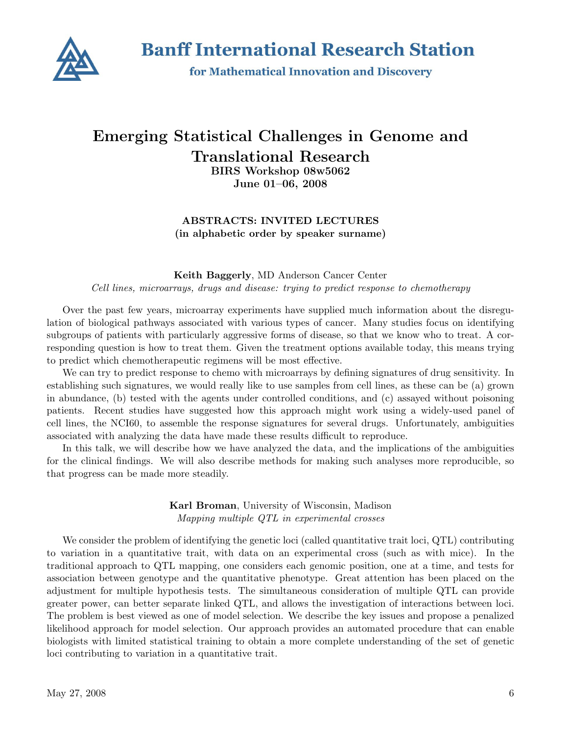

**Banff International Research Station** 

for Mathematical Innovation and Discovery

# Emerging Statistical Challenges in Genome and Translational Research BIRS Workshop 08w5062

June 01–06, 2008

ABSTRACTS: INVITED LECTURES (in alphabetic order by speaker surname)

# Keith Baggerly, MD Anderson Cancer Center Cell lines, microarrays, drugs and disease: trying to predict response to chemotherapy

Over the past few years, microarray experiments have supplied much information about the disregulation of biological pathways associated with various types of cancer. Many studies focus on identifying subgroups of patients with particularly aggressive forms of disease, so that we know who to treat. A corresponding question is how to treat them. Given the treatment options available today, this means trying to predict which chemotherapeutic regimens will be most effective.

We can try to predict response to chemo with microarrays by defining signatures of drug sensitivity. In establishing such signatures, we would really like to use samples from cell lines, as these can be (a) grown in abundance, (b) tested with the agents under controlled conditions, and (c) assayed without poisoning patients. Recent studies have suggested how this approach might work using a widely-used panel of cell lines, the NCI60, to assemble the response signatures for several drugs. Unfortunately, ambiguities associated with analyzing the data have made these results difficult to reproduce.

In this talk, we will describe how we have analyzed the data, and the implications of the ambiguities for the clinical findings. We will also describe methods for making such analyses more reproducible, so that progress can be made more steadily.

> Karl Broman, University of Wisconsin, Madison Mapping multiple QTL in experimental crosses

We consider the problem of identifying the genetic loci (called quantitative trait loci, QTL) contributing to variation in a quantitative trait, with data on an experimental cross (such as with mice). In the traditional approach to QTL mapping, one considers each genomic position, one at a time, and tests for association between genotype and the quantitative phenotype. Great attention has been placed on the adjustment for multiple hypothesis tests. The simultaneous consideration of multiple QTL can provide greater power, can better separate linked QTL, and allows the investigation of interactions between loci. The problem is best viewed as one of model selection. We describe the key issues and propose a penalized likelihood approach for model selection. Our approach provides an automated procedure that can enable biologists with limited statistical training to obtain a more complete understanding of the set of genetic loci contributing to variation in a quantitative trait.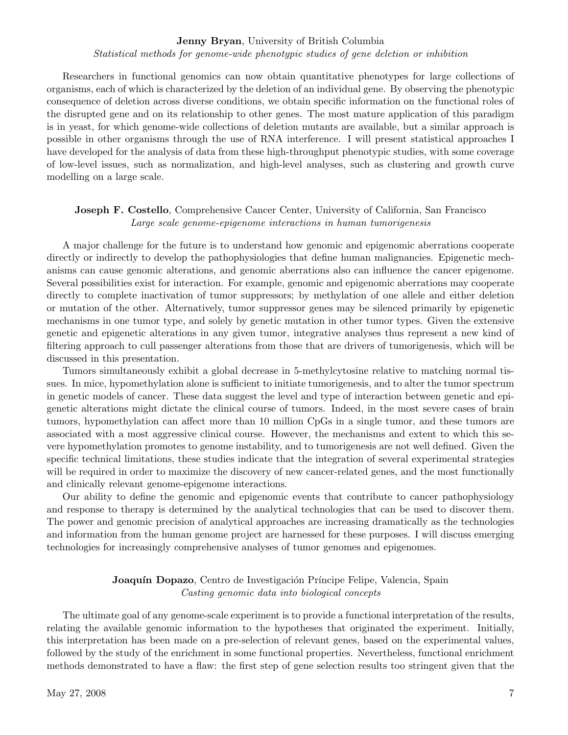#### Jenny Bryan, University of British Columbia

Statistical methods for genome-wide phenotypic studies of gene deletion or inhibition

Researchers in functional genomics can now obtain quantitative phenotypes for large collections of organisms, each of which is characterized by the deletion of an individual gene. By observing the phenotypic consequence of deletion across diverse conditions, we obtain specific information on the functional roles of the disrupted gene and on its relationship to other genes. The most mature application of this paradigm is in yeast, for which genome-wide collections of deletion mutants are available, but a similar approach is possible in other organisms through the use of RNA interference. I will present statistical approaches I have developed for the analysis of data from these high-throughput phenotypic studies, with some coverage of low-level issues, such as normalization, and high-level analyses, such as clustering and growth curve modelling on a large scale.

# Joseph F. Costello, Comprehensive Cancer Center, University of California, San Francisco Large scale genome-epigenome interactions in human tumorigenesis

A major challenge for the future is to understand how genomic and epigenomic aberrations cooperate directly or indirectly to develop the pathophysiologies that define human malignancies. Epigenetic mechanisms can cause genomic alterations, and genomic aberrations also can influence the cancer epigenome. Several possibilities exist for interaction. For example, genomic and epigenomic aberrations may cooperate directly to complete inactivation of tumor suppressors; by methylation of one allele and either deletion or mutation of the other. Alternatively, tumor suppressor genes may be silenced primarily by epigenetic mechanisms in one tumor type, and solely by genetic mutation in other tumor types. Given the extensive genetic and epigenetic alterations in any given tumor, integrative analyses thus represent a new kind of filtering approach to cull passenger alterations from those that are drivers of tumorigenesis, which will be discussed in this presentation.

Tumors simultaneously exhibit a global decrease in 5-methylcytosine relative to matching normal tissues. In mice, hypomethylation alone is sufficient to initiate tumorigenesis, and to alter the tumor spectrum in genetic models of cancer. These data suggest the level and type of interaction between genetic and epigenetic alterations might dictate the clinical course of tumors. Indeed, in the most severe cases of brain tumors, hypomethylation can affect more than 10 million CpGs in a single tumor, and these tumors are associated with a most aggressive clinical course. However, the mechanisms and extent to which this severe hypomethylation promotes to genome instability, and to tumorigenesis are not well defined. Given the specific technical limitations, these studies indicate that the integration of several experimental strategies will be required in order to maximize the discovery of new cancer-related genes, and the most functionally and clinically relevant genome-epigenome interactions.

Our ability to define the genomic and epigenomic events that contribute to cancer pathophysiology and response to therapy is determined by the analytical technologies that can be used to discover them. The power and genomic precision of analytical approaches are increasing dramatically as the technologies and information from the human genome project are harnessed for these purposes. I will discuss emerging technologies for increasingly comprehensive analyses of tumor genomes and epigenomes.

### **Joaquín Dopazo**, Centro de Investigación Príncipe Felipe, Valencia, Spain Casting genomic data into biological concepts

The ultimate goal of any genome-scale experiment is to provide a functional interpretation of the results, relating the available genomic information to the hypotheses that originated the experiment. Initially, this interpretation has been made on a pre-selection of relevant genes, based on the experimental values, followed by the study of the enrichment in some functional properties. Nevertheless, functional enrichment methods demonstrated to have a flaw: the first step of gene selection results too stringent given that the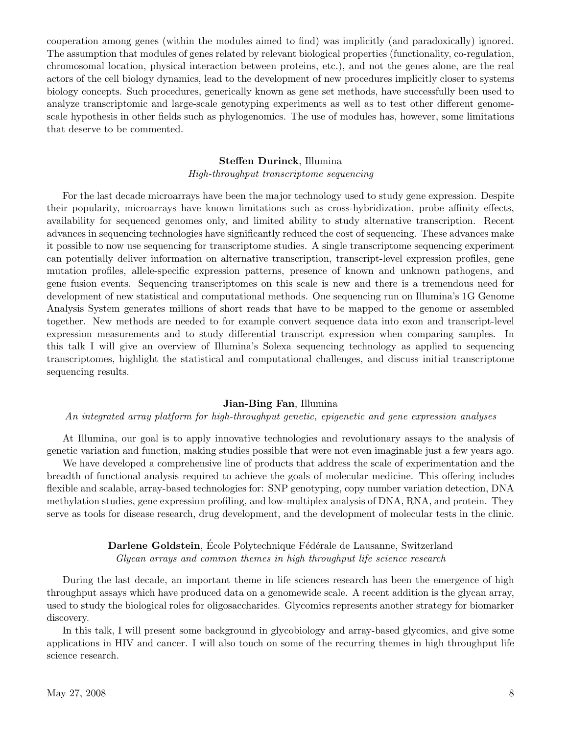cooperation among genes (within the modules aimed to find) was implicitly (and paradoxically) ignored. The assumption that modules of genes related by relevant biological properties (functionality, co-regulation, chromosomal location, physical interaction between proteins, etc.), and not the genes alone, are the real actors of the cell biology dynamics, lead to the development of new procedures implicitly closer to systems biology concepts. Such procedures, generically known as gene set methods, have successfully been used to analyze transcriptomic and large-scale genotyping experiments as well as to test other different genomescale hypothesis in other fields such as phylogenomics. The use of modules has, however, some limitations that deserve to be commented.

### Steffen Durinck, Illumina High-throughput transcriptome sequencing

For the last decade microarrays have been the major technology used to study gene expression. Despite their popularity, microarrays have known limitations such as cross-hybridization, probe affinity effects, availability for sequenced genomes only, and limited ability to study alternative transcription. Recent advances in sequencing technologies have significantly reduced the cost of sequencing. These advances make it possible to now use sequencing for transcriptome studies. A single transcriptome sequencing experiment can potentially deliver information on alternative transcription, transcript-level expression profiles, gene mutation profiles, allele-specific expression patterns, presence of known and unknown pathogens, and gene fusion events. Sequencing transcriptomes on this scale is new and there is a tremendous need for development of new statistical and computational methods. One sequencing run on Illumina's 1G Genome Analysis System generates millions of short reads that have to be mapped to the genome or assembled together. New methods are needed to for example convert sequence data into exon and transcript-level expression measurements and to study differential transcript expression when comparing samples. In this talk I will give an overview of Illumina's Solexa sequencing technology as applied to sequencing transcriptomes, highlight the statistical and computational challenges, and discuss initial transcriptome sequencing results.

# Jian-Bing Fan, Illumina

#### An integrated array platform for high-throughput genetic, epigenetic and gene expression analyses

At Illumina, our goal is to apply innovative technologies and revolutionary assays to the analysis of genetic variation and function, making studies possible that were not even imaginable just a few years ago.

We have developed a comprehensive line of products that address the scale of experimentation and the breadth of functional analysis required to achieve the goals of molecular medicine. This offering includes flexible and scalable, array-based technologies for: SNP genotyping, copy number variation detection, DNA methylation studies, gene expression profiling, and low-multiplex analysis of DNA, RNA, and protein. They serve as tools for disease research, drug development, and the development of molecular tests in the clinic.

# Darlene Goldstein, École Polytechnique Fédérale de Lausanne, Switzerland Glycan arrays and common themes in high throughput life science research

During the last decade, an important theme in life sciences research has been the emergence of high throughput assays which have produced data on a genomewide scale. A recent addition is the glycan array, used to study the biological roles for oligosaccharides. Glycomics represents another strategy for biomarker discovery.

In this talk, I will present some background in glycobiology and array-based glycomics, and give some applications in HIV and cancer. I will also touch on some of the recurring themes in high throughput life science research.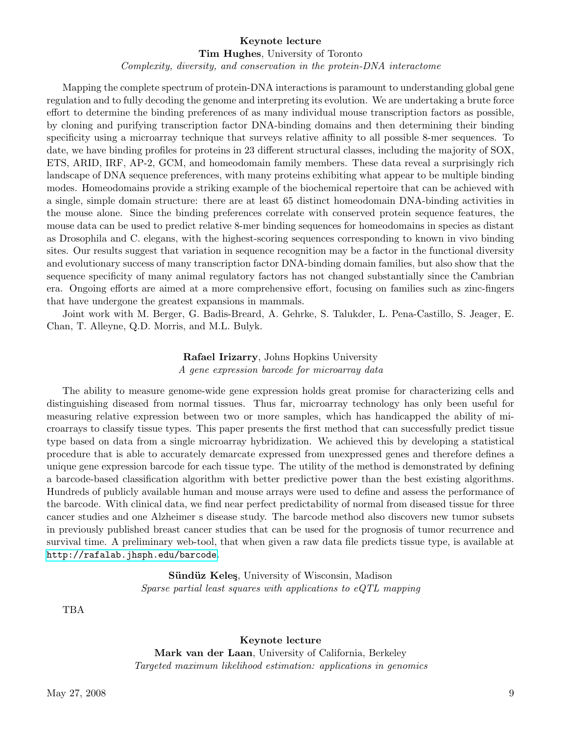#### Keynote lecture

Tim Hughes, University of Toronto

Complexity, diversity, and conservation in the protein-DNA interactome

Mapping the complete spectrum of protein-DNA interactions is paramount to understanding global gene regulation and to fully decoding the genome and interpreting its evolution. We are undertaking a brute force effort to determine the binding preferences of as many individual mouse transcription factors as possible, by cloning and purifying transcription factor DNA-binding domains and then determining their binding specificity using a microarray technique that surveys relative affinity to all possible 8-mer sequences. To date, we have binding profiles for proteins in 23 different structural classes, including the majority of SOX, ETS, ARID, IRF, AP-2, GCM, and homeodomain family members. These data reveal a surprisingly rich landscape of DNA sequence preferences, with many proteins exhibiting what appear to be multiple binding modes. Homeodomains provide a striking example of the biochemical repertoire that can be achieved with a single, simple domain structure: there are at least 65 distinct homeodomain DNA-binding activities in the mouse alone. Since the binding preferences correlate with conserved protein sequence features, the mouse data can be used to predict relative 8-mer binding sequences for homeodomains in species as distant as Drosophila and C. elegans, with the highest-scoring sequences corresponding to known in vivo binding sites. Our results suggest that variation in sequence recognition may be a factor in the functional diversity and evolutionary success of many transcription factor DNA-binding domain families, but also show that the sequence specificity of many animal regulatory factors has not changed substantially since the Cambrian era. Ongoing efforts are aimed at a more comprehensive effort, focusing on families such as zinc-fingers that have undergone the greatest expansions in mammals.

Joint work with M. Berger, G. Badis-Breard, A. Gehrke, S. Talukder, L. Pena-Castillo, S. Jeager, E. Chan, T. Alleyne, Q.D. Morris, and M.L. Bulyk.

# Rafael Irizarry, Johns Hopkins University A gene expression barcode for microarray data

The ability to measure genome-wide gene expression holds great promise for characterizing cells and distinguishing diseased from normal tissues. Thus far, microarray technology has only been useful for measuring relative expression between two or more samples, which has handicapped the ability of microarrays to classify tissue types. This paper presents the first method that can successfully predict tissue type based on data from a single microarray hybridization. We achieved this by developing a statistical procedure that is able to accurately demarcate expressed from unexpressed genes and therefore defines a unique gene expression barcode for each tissue type. The utility of the method is demonstrated by defining a barcode-based classification algorithm with better predictive power than the best existing algorithms. Hundreds of publicly available human and mouse arrays were used to define and assess the performance of the barcode. With clinical data, we find near perfect predictability of normal from diseased tissue for three cancer studies and one Alzheimer s disease study. The barcode method also discovers new tumor subsets in previously published breast cancer studies that can be used for the prognosis of tumor recurrence and survival time. A preliminary web-tool, that when given a raw data file predicts tissue type, is available at <http://rafalab.jhsph.edu/barcode>.

> Sündüz Keleş, University of Wisconsin, Madison Sparse partial least squares with applications to eQTL mapping

TBA

Keynote lecture

Mark van der Laan, University of California, Berkeley Targeted maximum likelihood estimation: applications in genomics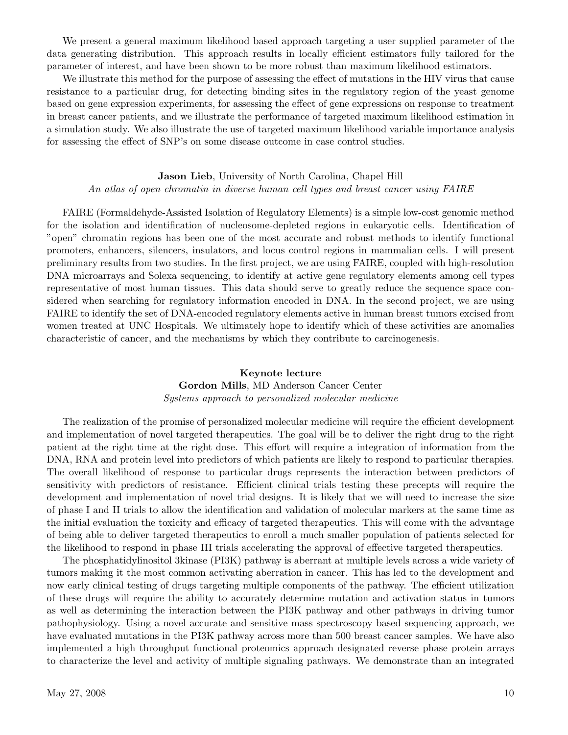We present a general maximum likelihood based approach targeting a user supplied parameter of the data generating distribution. This approach results in locally efficient estimators fully tailored for the parameter of interest, and have been shown to be more robust than maximum likelihood estimators.

We illustrate this method for the purpose of assessing the effect of mutations in the HIV virus that cause resistance to a particular drug, for detecting binding sites in the regulatory region of the yeast genome based on gene expression experiments, for assessing the effect of gene expressions on response to treatment in breast cancer patients, and we illustrate the performance of targeted maximum likelihood estimation in a simulation study. We also illustrate the use of targeted maximum likelihood variable importance analysis for assessing the effect of SNP's on some disease outcome in case control studies.

#### Jason Lieb, University of North Carolina, Chapel Hill

An atlas of open chromatin in diverse human cell types and breast cancer using FAIRE

FAIRE (Formaldehyde-Assisted Isolation of Regulatory Elements) is a simple low-cost genomic method for the isolation and identification of nucleosome-depleted regions in eukaryotic cells. Identification of "open" chromatin regions has been one of the most accurate and robust methods to identify functional promoters, enhancers, silencers, insulators, and locus control regions in mammalian cells. I will present preliminary results from two studies. In the first project, we are using FAIRE, coupled with high-resolution DNA microarrays and Solexa sequencing, to identify at active gene regulatory elements among cell types representative of most human tissues. This data should serve to greatly reduce the sequence space considered when searching for regulatory information encoded in DNA. In the second project, we are using FAIRE to identify the set of DNA-encoded regulatory elements active in human breast tumors excised from women treated at UNC Hospitals. We ultimately hope to identify which of these activities are anomalies characteristic of cancer, and the mechanisms by which they contribute to carcinogenesis.

# Keynote lecture Gordon Mills, MD Anderson Cancer Center Systems approach to personalized molecular medicine

The realization of the promise of personalized molecular medicine will require the efficient development and implementation of novel targeted therapeutics. The goal will be to deliver the right drug to the right patient at the right time at the right dose. This effort will require a integration of information from the DNA, RNA and protein level into predictors of which patients are likely to respond to particular therapies. The overall likelihood of response to particular drugs represents the interaction between predictors of sensitivity with predictors of resistance. Efficient clinical trials testing these precepts will require the development and implementation of novel trial designs. It is likely that we will need to increase the size of phase I and II trials to allow the identification and validation of molecular markers at the same time as the initial evaluation the toxicity and efficacy of targeted therapeutics. This will come with the advantage of being able to deliver targeted therapeutics to enroll a much smaller population of patients selected for the likelihood to respond in phase III trials accelerating the approval of effective targeted therapeutics.

The phosphatidylinositol 3kinase (PI3K) pathway is aberrant at multiple levels across a wide variety of tumors making it the most common activating aberration in cancer. This has led to the development and now early clinical testing of drugs targeting multiple components of the pathway. The efficient utilization of these drugs will require the ability to accurately determine mutation and activation status in tumors as well as determining the interaction between the PI3K pathway and other pathways in driving tumor pathophysiology. Using a novel accurate and sensitive mass spectroscopy based sequencing approach, we have evaluated mutations in the PI3K pathway across more than 500 breast cancer samples. We have also implemented a high throughput functional proteomics approach designated reverse phase protein arrays to characterize the level and activity of multiple signaling pathways. We demonstrate than an integrated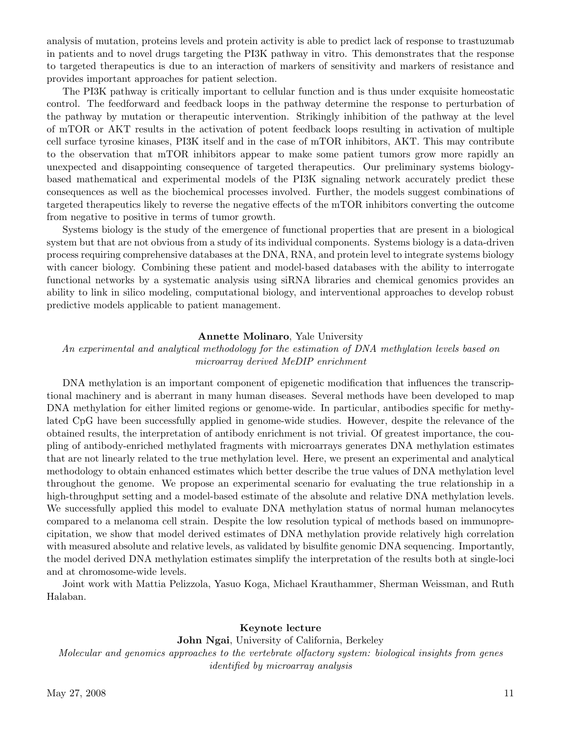analysis of mutation, proteins levels and protein activity is able to predict lack of response to trastuzumab in patients and to novel drugs targeting the PI3K pathway in vitro. This demonstrates that the response to targeted therapeutics is due to an interaction of markers of sensitivity and markers of resistance and provides important approaches for patient selection.

The PI3K pathway is critically important to cellular function and is thus under exquisite homeostatic control. The feedforward and feedback loops in the pathway determine the response to perturbation of the pathway by mutation or therapeutic intervention. Strikingly inhibition of the pathway at the level of mTOR or AKT results in the activation of potent feedback loops resulting in activation of multiple cell surface tyrosine kinases, PI3K itself and in the case of mTOR inhibitors, AKT. This may contribute to the observation that mTOR inhibitors appear to make some patient tumors grow more rapidly an unexpected and disappointing consequence of targeted therapeutics. Our preliminary systems biologybased mathematical and experimental models of the PI3K signaling network accurately predict these consequences as well as the biochemical processes involved. Further, the models suggest combinations of targeted therapeutics likely to reverse the negative effects of the mTOR inhibitors converting the outcome from negative to positive in terms of tumor growth.

Systems biology is the study of the emergence of functional properties that are present in a biological system but that are not obvious from a study of its individual components. Systems biology is a data-driven process requiring comprehensive databases at the DNA, RNA, and protein level to integrate systems biology with cancer biology. Combining these patient and model-based databases with the ability to interrogate functional networks by a systematic analysis using siRNA libraries and chemical genomics provides an ability to link in silico modeling, computational biology, and interventional approaches to develop robust predictive models applicable to patient management.

#### Annette Molinaro, Yale University

An experimental and analytical methodology for the estimation of DNA methylation levels based on microarray derived MeDIP enrichment

DNA methylation is an important component of epigenetic modification that influences the transcriptional machinery and is aberrant in many human diseases. Several methods have been developed to map DNA methylation for either limited regions or genome-wide. In particular, antibodies specific for methylated CpG have been successfully applied in genome-wide studies. However, despite the relevance of the obtained results, the interpretation of antibody enrichment is not trivial. Of greatest importance, the coupling of antibody-enriched methylated fragments with microarrays generates DNA methylation estimates that are not linearly related to the true methylation level. Here, we present an experimental and analytical methodology to obtain enhanced estimates which better describe the true values of DNA methylation level throughout the genome. We propose an experimental scenario for evaluating the true relationship in a high-throughput setting and a model-based estimate of the absolute and relative DNA methylation levels. We successfully applied this model to evaluate DNA methylation status of normal human melanocytes compared to a melanoma cell strain. Despite the low resolution typical of methods based on immunoprecipitation, we show that model derived estimates of DNA methylation provide relatively high correlation with measured absolute and relative levels, as validated by bisulfite genomic DNA sequencing. Importantly, the model derived DNA methylation estimates simplify the interpretation of the results both at single-loci and at chromosome-wide levels.

Joint work with Mattia Pelizzola, Yasuo Koga, Michael Krauthammer, Sherman Weissman, and Ruth Halaban.

#### Keynote lecture

John Ngai, University of California, Berkeley Molecular and genomics approaches to the vertebrate olfactory system: biological insights from genes identified by microarray analysis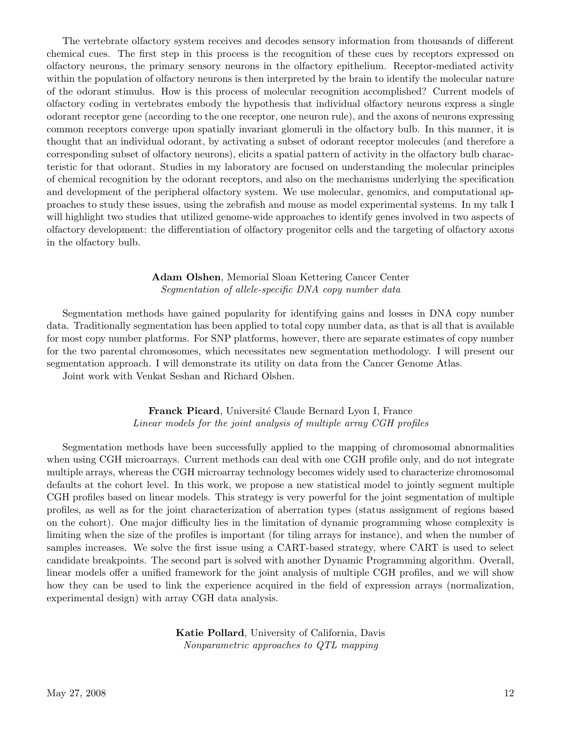The vertebrate olfactory system receives and decodes sensory information from thousands of different chemical cues. The first step in this process is the recognition of these cues by receptors expressed on olfactory neurons, the primary sensory neurons in the olfactory epithelium. Receptor-mediated activity within the population of olfactory neurons is then interpreted by the brain to identify the molecular nature of the odorant stimulus. How is this process of molecular recognition accomplished? Current models of olfactory coding in vertebrates embody the hypothesis that individual olfactory neurons express a single odorant receptor gene (according to the one receptor, one neuron rule), and the axons of neurons expressing common receptors converge upon spatially invariant glomeruli in the olfactory bulb. In this manner, it is thought that an individual odorant, by activating a subset of odorant receptor molecules (and therefore a corresponding subset of olfactory neurons), elicits a spatial pattern of activity in the olfactory bulb characteristic for that odorant. Studies in my laboratory are focused on understanding the molecular principles of chemical recognition by the odorant receptors, and also on the mechanisms underlying the specification and development of the peripheral olfactory system. We use molecular, genomics, and computational approaches to study these issues, using the zebrafish and mouse as model experimental systems. In my talk I will highlight two studies that utilized genome-wide approaches to identify genes involved in two aspects of olfactory development: the differentiation of olfactory progenitor cells and the targeting of olfactory axons in the olfactory bulb.

# Adam Olshen, Memorial Sloan Kettering Cancer Center Segmentation of allele-specific DNA copy number data

Segmentation methods have gained popularity for identifying gains and losses in DNA copy number data. Traditionally segmentation has been applied to total copy number data, as that is all that is available for most copy number platforms. For SNP platforms, however, there are separate estimates of copy number for the two parental chromosomes, which necessitates new segmentation methodology. I will present our segmentation approach. I will demonstrate its utility on data from the Cancer Genome Atlas.

Joint work with Venkat Seshan and Richard Olshen.

# Franck Picard, Université Claude Bernard Lyon I, France Linear models for the joint analysis of multiple array CGH profiles

Segmentation methods have been successfully applied to the mapping of chromosomal abnormalities when using CGH microarrays. Current methods can deal with one CGH profile only, and do not integrate multiple arrays, whereas the CGH microarray technology becomes widely used to characterize chromosomal defaults at the cohort level. In this work, we propose a new statistical model to jointly segment multiple CGH profiles based on linear models. This strategy is very powerful for the joint segmentation of multiple profiles, as well as for the joint characterization of aberration types (status assignment of regions based on the cohort). One major difficulty lies in the limitation of dynamic programming whose complexity is limiting when the size of the profiles is important (for tiling arrays for instance), and when the number of samples increases. We solve the first issue using a CART-based strategy, where CART is used to select candidate breakpoints. The second part is solved with another Dynamic Programming algorithm. Overall, linear models offer a unified framework for the joint analysis of multiple CGH profiles, and we will show how they can be used to link the experience acquired in the field of expression arrays (normalization, experimental design) with array CGH data analysis.

> Katie Pollard, University of California, Davis Nonparametric approaches to QTL mapping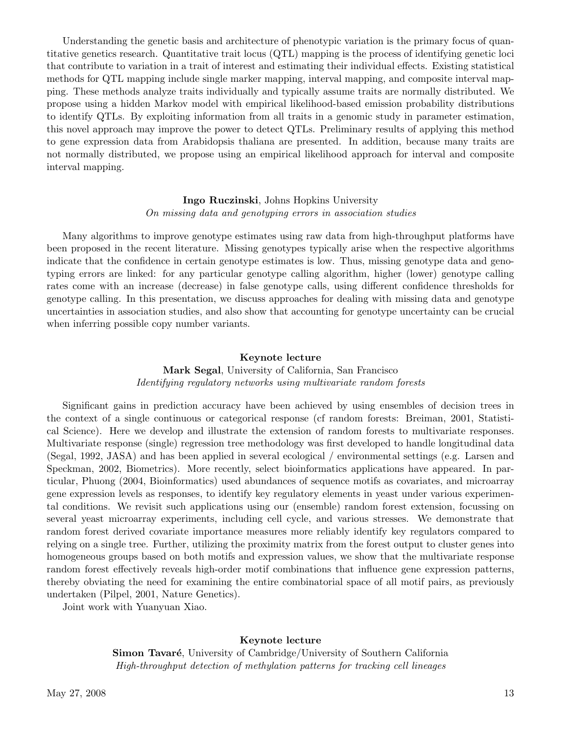Understanding the genetic basis and architecture of phenotypic variation is the primary focus of quantitative genetics research. Quantitative trait locus (QTL) mapping is the process of identifying genetic loci that contribute to variation in a trait of interest and estimating their individual effects. Existing statistical methods for QTL mapping include single marker mapping, interval mapping, and composite interval mapping. These methods analyze traits individually and typically assume traits are normally distributed. We propose using a hidden Markov model with empirical likelihood-based emission probability distributions to identify QTLs. By exploiting information from all traits in a genomic study in parameter estimation, this novel approach may improve the power to detect QTLs. Preliminary results of applying this method to gene expression data from Arabidopsis thaliana are presented. In addition, because many traits are not normally distributed, we propose using an empirical likelihood approach for interval and composite interval mapping.

### Ingo Ruczinski, Johns Hopkins University On missing data and genotyping errors in association studies

Many algorithms to improve genotype estimates using raw data from high-throughput platforms have been proposed in the recent literature. Missing genotypes typically arise when the respective algorithms indicate that the confidence in certain genotype estimates is low. Thus, missing genotype data and genotyping errors are linked: for any particular genotype calling algorithm, higher (lower) genotype calling rates come with an increase (decrease) in false genotype calls, using different confidence thresholds for genotype calling. In this presentation, we discuss approaches for dealing with missing data and genotype uncertainties in association studies, and also show that accounting for genotype uncertainty can be crucial when inferring possible copy number variants.

#### Keynote lecture

Mark Segal, University of California, San Francisco Identifying regulatory networks using multivariate random forests

Significant gains in prediction accuracy have been achieved by using ensembles of decision trees in the context of a single continuous or categorical response (cf random forests: Breiman, 2001, Statistical Science). Here we develop and illustrate the extension of random forests to multivariate responses. Multivariate response (single) regression tree methodology was first developed to handle longitudinal data (Segal, 1992, JASA) and has been applied in several ecological / environmental settings (e.g. Larsen and Speckman, 2002, Biometrics). More recently, select bioinformatics applications have appeared. In particular, Phuong (2004, Bioinformatics) used abundances of sequence motifs as covariates, and microarray gene expression levels as responses, to identify key regulatory elements in yeast under various experimental conditions. We revisit such applications using our (ensemble) random forest extension, focussing on several yeast microarray experiments, including cell cycle, and various stresses. We demonstrate that random forest derived covariate importance measures more reliably identify key regulators compared to relying on a single tree. Further, utilizing the proximity matrix from the forest output to cluster genes into homogeneous groups based on both motifs and expression values, we show that the multivariate response random forest effectively reveals high-order motif combinations that influence gene expression patterns, thereby obviating the need for examining the entire combinatorial space of all motif pairs, as previously undertaken (Pilpel, 2001, Nature Genetics).

Joint work with Yuanyuan Xiao.

#### Keynote lecture

Simon Tavaré, University of Cambridge/University of Southern California High-throughput detection of methylation patterns for tracking cell lineages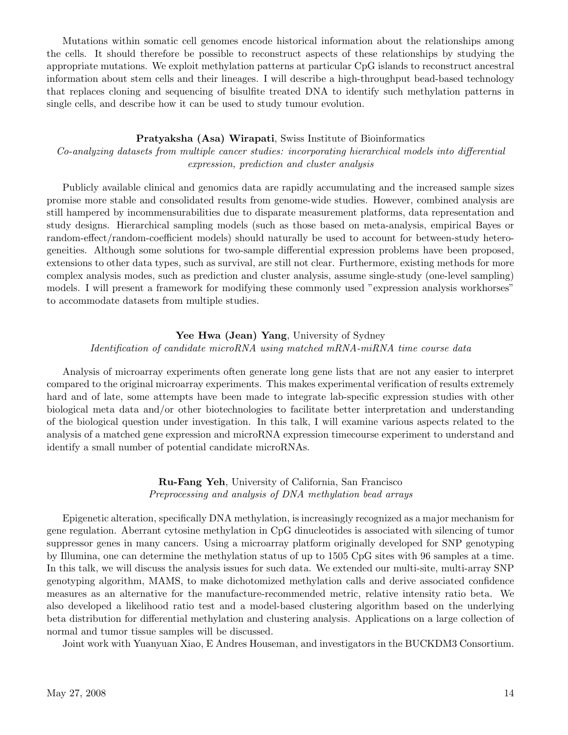Mutations within somatic cell genomes encode historical information about the relationships among the cells. It should therefore be possible to reconstruct aspects of these relationships by studying the appropriate mutations. We exploit methylation patterns at particular CpG islands to reconstruct ancestral information about stem cells and their lineages. I will describe a high-throughput bead-based technology that replaces cloning and sequencing of bisulfite treated DNA to identify such methylation patterns in single cells, and describe how it can be used to study tumour evolution.

#### Pratyaksha (Asa) Wirapati, Swiss Institute of Bioinformatics

Co-analyzing datasets from multiple cancer studies: incorporating hierarchical models into differential expression, prediction and cluster analysis

Publicly available clinical and genomics data are rapidly accumulating and the increased sample sizes promise more stable and consolidated results from genome-wide studies. However, combined analysis are still hampered by incommensurabilities due to disparate measurement platforms, data representation and study designs. Hierarchical sampling models (such as those based on meta-analysis, empirical Bayes or random-effect/random-coefficient models) should naturally be used to account for between-study heterogeneities. Although some solutions for two-sample differential expression problems have been proposed, extensions to other data types, such as survival, are still not clear. Furthermore, existing methods for more complex analysis modes, such as prediction and cluster analysis, assume single-study (one-level sampling) models. I will present a framework for modifying these commonly used "expression analysis workhorses" to accommodate datasets from multiple studies.

#### Yee Hwa (Jean) Yang, University of Sydney

#### Identification of candidate microRNA using matched mRNA-miRNA time course data

Analysis of microarray experiments often generate long gene lists that are not any easier to interpret compared to the original microarray experiments. This makes experimental verification of results extremely hard and of late, some attempts have been made to integrate lab-specific expression studies with other biological meta data and/or other biotechnologies to facilitate better interpretation and understanding of the biological question under investigation. In this talk, I will examine various aspects related to the analysis of a matched gene expression and microRNA expression timecourse experiment to understand and identify a small number of potential candidate microRNAs.

> Ru-Fang Yeh, University of California, San Francisco Preprocessing and analysis of DNA methylation bead arrays

Epigenetic alteration, specifically DNA methylation, is increasingly recognized as a major mechanism for gene regulation. Aberrant cytosine methylation in CpG dinucleotides is associated with silencing of tumor suppressor genes in many cancers. Using a microarray platform originally developed for SNP genotyping by Illumina, one can determine the methylation status of up to 1505 CpG sites with 96 samples at a time. In this talk, we will discuss the analysis issues for such data. We extended our multi-site, multi-array SNP genotyping algorithm, MAMS, to make dichotomized methylation calls and derive associated confidence measures as an alternative for the manufacture-recommended metric, relative intensity ratio beta. We also developed a likelihood ratio test and a model-based clustering algorithm based on the underlying beta distribution for differential methylation and clustering analysis. Applications on a large collection of normal and tumor tissue samples will be discussed.

Joint work with Yuanyuan Xiao, E Andres Houseman, and investigators in the BUCKDM3 Consortium.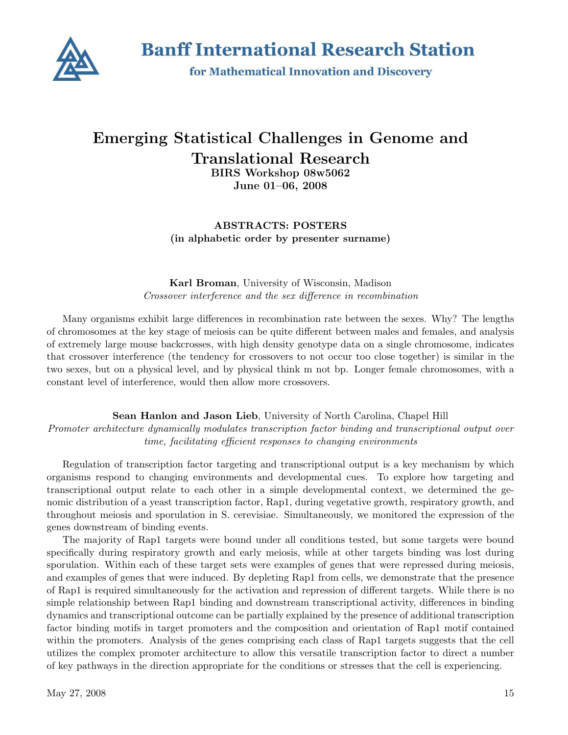

**Banff International Research Station** 

for Mathematical Innovation and Discovery

# Emerging Statistical Challenges in Genome and Translational Research BIRS Workshop 08w5062

June 01–06, 2008

ABSTRACTS: POSTERS (in alphabetic order by presenter surname)

Karl Broman, University of Wisconsin, Madison Crossover interference and the sex difference in recombination

Many organisms exhibit large differences in recombination rate between the sexes. Why? The lengths of chromosomes at the key stage of meiosis can be quite different between males and females, and analysis of extremely large mouse backcrosses, with high density genotype data on a single chromosome, indicates that crossover interference (the tendency for crossovers to not occur too close together) is similar in the two sexes, but on a physical level, and by physical think m not bp. Longer female chromosomes, with a constant level of interference, would then allow more crossovers.

Sean Hanlon and Jason Lieb, University of North Carolina, Chapel Hill Promoter architecture dynamically modulates transcription factor binding and transcriptional output over time, facilitating efficient responses to changing environments

Regulation of transcription factor targeting and transcriptional output is a key mechanism by which organisms respond to changing environments and developmental cues. To explore how targeting and transcriptional output relate to each other in a simple developmental context, we determined the genomic distribution of a yeast transcription factor, Rap1, during vegetative growth, respiratory growth, and throughout meiosis and sporulation in S. cerevisiae. Simultaneously, we monitored the expression of the genes downstream of binding events.

The majority of Rap1 targets were bound under all conditions tested, but some targets were bound specifically during respiratory growth and early meiosis, while at other targets binding was lost during sporulation. Within each of these target sets were examples of genes that were repressed during meiosis, and examples of genes that were induced. By depleting Rap1 from cells, we demonstrate that the presence of Rap1 is required simultaneously for the activation and repression of different targets. While there is no simple relationship between Rap1 binding and downstream transcriptional activity, differences in binding dynamics and transcriptional outcome can be partially explained by the presence of additional transcription factor binding motifs in target promoters and the composition and orientation of Rap1 motif contained within the promoters. Analysis of the genes comprising each class of Rap1 targets suggests that the cell utilizes the complex promoter architecture to allow this versatile transcription factor to direct a number of key pathways in the direction appropriate for the conditions or stresses that the cell is experiencing.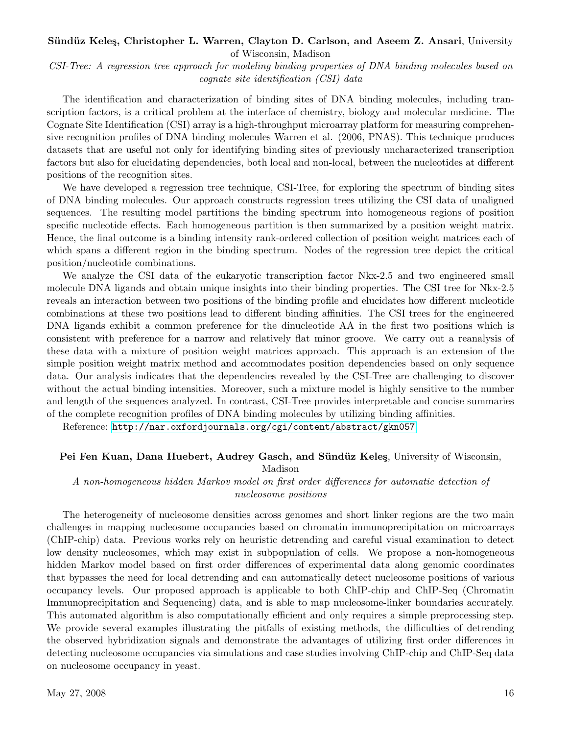# Sündüz Keleş, Christopher L. Warren, Clayton D. Carlson, and Aseem Z. Ansari, University

of Wisconsin, Madison

CSI-Tree: A regression tree approach for modeling binding properties of DNA binding molecules based on cognate site identification (CSI) data

The identification and characterization of binding sites of DNA binding molecules, including transcription factors, is a critical problem at the interface of chemistry, biology and molecular medicine. The Cognate Site Identification (CSI) array is a high-throughput microarray platform for measuring comprehensive recognition profiles of DNA binding molecules Warren et al. (2006, PNAS). This technique produces datasets that are useful not only for identifying binding sites of previously uncharacterized transcription factors but also for elucidating dependencies, both local and non-local, between the nucleotides at different positions of the recognition sites.

We have developed a regression tree technique, CSI-Tree, for exploring the spectrum of binding sites of DNA binding molecules. Our approach constructs regression trees utilizing the CSI data of unaligned sequences. The resulting model partitions the binding spectrum into homogeneous regions of position specific nucleotide effects. Each homogeneous partition is then summarized by a position weight matrix. Hence, the final outcome is a binding intensity rank-ordered collection of position weight matrices each of which spans a different region in the binding spectrum. Nodes of the regression tree depict the critical position/nucleotide combinations.

We analyze the CSI data of the eukaryotic transcription factor Nkx-2.5 and two engineered small molecule DNA ligands and obtain unique insights into their binding properties. The CSI tree for Nkx-2.5 reveals an interaction between two positions of the binding profile and elucidates how different nucleotide combinations at these two positions lead to different binding affinities. The CSI trees for the engineered DNA ligands exhibit a common preference for the dinucleotide AA in the first two positions which is consistent with preference for a narrow and relatively flat minor groove. We carry out a reanalysis of these data with a mixture of position weight matrices approach. This approach is an extension of the simple position weight matrix method and accommodates position dependencies based on only sequence data. Our analysis indicates that the dependencies revealed by the CSI-Tree are challenging to discover without the actual binding intensities. Moreover, such a mixture model is highly sensitive to the number and length of the sequences analyzed. In contrast, CSI-Tree provides interpretable and concise summaries of the complete recognition profiles of DNA binding molecules by utilizing binding affinities.

Reference: <http://nar.oxfordjournals.org/cgi/content/abstract/gkn057>

#### Pei Fen Kuan, Dana Huebert, Audrey Gasch, and Sündüz Keleş, University of Wisconsin,

Madison

# A non-homogeneous hidden Markov model on first order differences for automatic detection of nucleosome positions

The heterogeneity of nucleosome densities across genomes and short linker regions are the two main challenges in mapping nucleosome occupancies based on chromatin immunoprecipitation on microarrays (ChIP-chip) data. Previous works rely on heuristic detrending and careful visual examination to detect low density nucleosomes, which may exist in subpopulation of cells. We propose a non-homogeneous hidden Markov model based on first order differences of experimental data along genomic coordinates that bypasses the need for local detrending and can automatically detect nucleosome positions of various occupancy levels. Our proposed approach is applicable to both ChIP-chip and ChIP-Seq (Chromatin Immunoprecipitation and Sequencing) data, and is able to map nucleosome-linker boundaries accurately. This automated algorithm is also computationally efficient and only requires a simple preprocessing step. We provide several examples illustrating the pitfalls of existing methods, the difficulties of detrending the observed hybridization signals and demonstrate the advantages of utilizing first order differences in detecting nucleosome occupancies via simulations and case studies involving ChIP-chip and ChIP-Seq data on nucleosome occupancy in yeast.